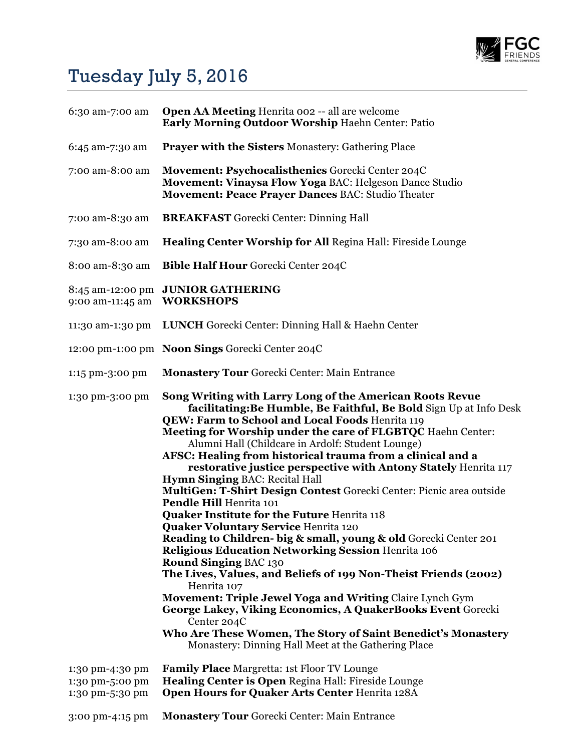

## Tuesday July 5, 2016

| 6:30 am-7:00 am                                       | <b>Open AA Meeting Henrita 002 -- all are welcome</b><br>Early Morning Outdoor Worship Haehn Center: Patio                                                                                                                                                                                                                                                                                                                                                                                                                                                                                                                                                                                                                                                                                                                                                                                                                                                                                                                                                                                                                                                                                                  |
|-------------------------------------------------------|-------------------------------------------------------------------------------------------------------------------------------------------------------------------------------------------------------------------------------------------------------------------------------------------------------------------------------------------------------------------------------------------------------------------------------------------------------------------------------------------------------------------------------------------------------------------------------------------------------------------------------------------------------------------------------------------------------------------------------------------------------------------------------------------------------------------------------------------------------------------------------------------------------------------------------------------------------------------------------------------------------------------------------------------------------------------------------------------------------------------------------------------------------------------------------------------------------------|
| 6:45 am-7:30 am                                       | <b>Prayer with the Sisters Monastery: Gathering Place</b>                                                                                                                                                                                                                                                                                                                                                                                                                                                                                                                                                                                                                                                                                                                                                                                                                                                                                                                                                                                                                                                                                                                                                   |
| 7:00 am-8:00 am                                       | Movement: Psychocalisthenics Gorecki Center 204C<br>Movement: Vinaysa Flow Yoga BAC: Helgeson Dance Studio<br>Movement: Peace Prayer Dances BAC: Studio Theater                                                                                                                                                                                                                                                                                                                                                                                                                                                                                                                                                                                                                                                                                                                                                                                                                                                                                                                                                                                                                                             |
| 7:00 am-8:30 am                                       | <b>BREAKFAST</b> Gorecki Center: Dinning Hall                                                                                                                                                                                                                                                                                                                                                                                                                                                                                                                                                                                                                                                                                                                                                                                                                                                                                                                                                                                                                                                                                                                                                               |
| 7:30 am-8:00 am                                       | Healing Center Worship for All Regina Hall: Fireside Lounge                                                                                                                                                                                                                                                                                                                                                                                                                                                                                                                                                                                                                                                                                                                                                                                                                                                                                                                                                                                                                                                                                                                                                 |
| 8:00 am-8:30 am                                       | <b>Bible Half Hour Gorecki Center 204C</b>                                                                                                                                                                                                                                                                                                                                                                                                                                                                                                                                                                                                                                                                                                                                                                                                                                                                                                                                                                                                                                                                                                                                                                  |
| 8:45 am-12:00 pm<br>9:00 am-11:45 am                  | <b>JUNIOR GATHERING</b><br><b>WORKSHOPS</b>                                                                                                                                                                                                                                                                                                                                                                                                                                                                                                                                                                                                                                                                                                                                                                                                                                                                                                                                                                                                                                                                                                                                                                 |
| 11:30 am-1:30 pm                                      | <b>LUNCH</b> Gorecki Center: Dinning Hall & Haehn Center                                                                                                                                                                                                                                                                                                                                                                                                                                                                                                                                                                                                                                                                                                                                                                                                                                                                                                                                                                                                                                                                                                                                                    |
|                                                       | 12:00 pm-1:00 pm Noon Sings Gorecki Center 204C                                                                                                                                                                                                                                                                                                                                                                                                                                                                                                                                                                                                                                                                                                                                                                                                                                                                                                                                                                                                                                                                                                                                                             |
| 1:15 pm-3:00 pm                                       | <b>Monastery Tour Gorecki Center: Main Entrance</b>                                                                                                                                                                                                                                                                                                                                                                                                                                                                                                                                                                                                                                                                                                                                                                                                                                                                                                                                                                                                                                                                                                                                                         |
| 1:30 pm-3:00 pm                                       | Song Writing with Larry Long of the American Roots Revue<br>facilitating: Be Humble, Be Faithful, Be Bold Sign Up at Info Desk<br><b>QEW: Farm to School and Local Foods Henrita 119</b><br>Meeting for Worship under the care of FLGBTQC Haehn Center:<br>Alumni Hall (Childcare in Ardolf: Student Lounge)<br>AFSC: Healing from historical trauma from a clinical and a<br>restorative justice perspective with Antony Stately Henrita 117<br>Hymn Singing BAC: Recital Hall<br>MultiGen: T-Shirt Design Contest Gorecki Center: Picnic area outside<br>Pendle Hill Henrita 101<br><b>Quaker Institute for the Future Henrita 118</b><br><b>Quaker Voluntary Service Henrita 120</b><br>Reading to Children- big & small, young & old Gorecki Center 201<br><b>Religious Education Networking Session Henrita 106</b><br><b>Round Singing BAC 130</b><br>The Lives, Values, and Beliefs of 199 Non-Theist Friends (2002)<br>Henrita 107<br>Movement: Triple Jewel Yoga and Writing Claire Lynch Gym<br>George Lakey, Viking Economics, A QuakerBooks Event Gorecki<br>Center 204C<br>Who Are These Women, The Story of Saint Benedict's Monastery<br>Monastery: Dinning Hall Meet at the Gathering Place |
| 1:30 pm-4:30 pm<br>1:30 pm-5:00 pm<br>1:30 pm-5:30 pm | <b>Family Place Margretta: 1st Floor TV Lounge</b><br>Healing Center is Open Regina Hall: Fireside Lounge<br>Open Hours for Quaker Arts Center Henrita 128A                                                                                                                                                                                                                                                                                                                                                                                                                                                                                                                                                                                                                                                                                                                                                                                                                                                                                                                                                                                                                                                 |
| 3:00 pm-4:15 pm                                       | <b>Monastery Tour Gorecki Center: Main Entrance</b>                                                                                                                                                                                                                                                                                                                                                                                                                                                                                                                                                                                                                                                                                                                                                                                                                                                                                                                                                                                                                                                                                                                                                         |